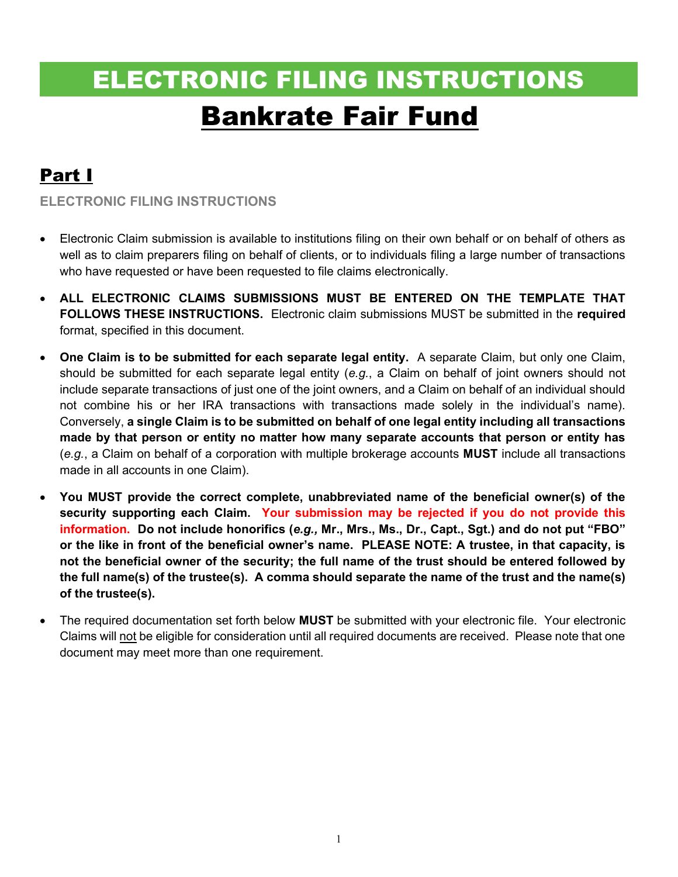# ELECTRONIC FILING INSTRUCTIONS Bankrate Fair Fund

# Part I

ELECTRONIC FILING INSTRUCTIONS

- Electronic Claim submission is available to institutions filing on their own behalf or on behalf of others as well as to claim preparers filing on behalf of clients, or to individuals filing a large number of transactions who have requested or have been requested to file claims electronically.
- ALL ELECTRONIC CLAIMS SUBMISSIONS MUST BE ENTERED ON THE TEMPLATE THAT FOLLOWS THESE INSTRUCTIONS. Electronic claim submissions MUST be submitted in the required format, specified in this document.
- One Claim is to be submitted for each separate legal entity. A separate Claim, but only one Claim, should be submitted for each separate legal entity (e.g., a Claim on behalf of joint owners should not include separate transactions of just one of the joint owners, and a Claim on behalf of an individual should not combine his or her IRA transactions with transactions made solely in the individual's name). Conversely, a single Claim is to be submitted on behalf of one legal entity including all transactions made by that person or entity no matter how many separate accounts that person or entity has  $(e.g., a Claim on behalf of a corporation with multiple brokerage accounts **MUST** include all transactions$ made in all accounts in one Claim).
- You MUST provide the correct complete, unabbreviated name of the beneficial owner(s) of the security supporting each Claim. Your submission may be rejected if you do not provide this information. Do not include honorifics (e.g., Mr., Mrs., Ms., Dr., Capt., Sgt.) and do not put "FBO" or the like in front of the beneficial owner's name. PLEASE NOTE: A trustee, in that capacity, is not the beneficial owner of the security; the full name of the trust should be entered followed by the full name(s) of the trustee(s). A comma should separate the name of the trust and the name(s) of the trustee(s).
- The required documentation set forth below MUST be submitted with your electronic file. Your electronic Claims will not be eligible for consideration until all required documents are received. Please note that one document may meet more than one requirement.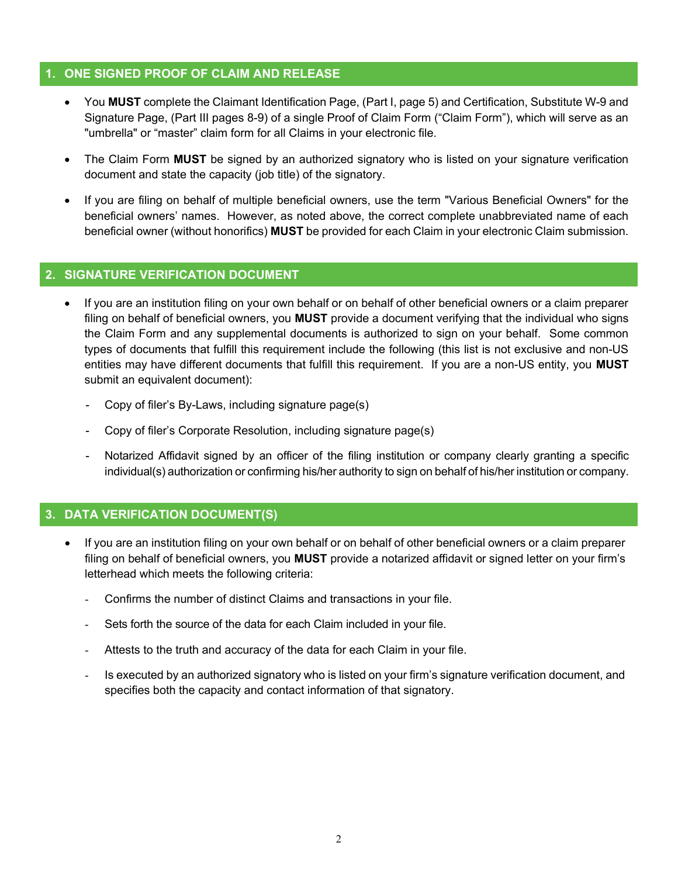#### 1. ONE SIGNED PROOF OF CLAIM AND RELEASE

- You MUST complete the Claimant Identification Page, (Part I, page 5) and Certification, Substitute W-9 and Signature Page, (Part III pages 8-9) of a single Proof of Claim Form ("Claim Form"), which will serve as an "umbrella" or "master" claim form for all Claims in your electronic file.
- The Claim Form MUST be signed by an authorized signatory who is listed on your signature verification document and state the capacity (job title) of the signatory.
- If you are filing on behalf of multiple beneficial owners, use the term "Various Beneficial Owners" for the beneficial owners' names. However, as noted above, the correct complete unabbreviated name of each beneficial owner (without honorifics) MUST be provided for each Claim in your electronic Claim submission.

#### 2. SIGNATURE VERIFICATION DOCUMENT

- If you are an institution filing on your own behalf or on behalf of other beneficial owners or a claim preparer filing on behalf of beneficial owners, you **MUST** provide a document verifying that the individual who signs the Claim Form and any supplemental documents is authorized to sign on your behalf. Some common types of documents that fulfill this requirement include the following (this list is not exclusive and non-US entities may have different documents that fulfill this requirement. If you are a non-US entity, you MUST submit an equivalent document):
	- Copy of filer's By-Laws, including signature page(s)
	- Copy of filer's Corporate Resolution, including signature page(s)
	- Notarized Affidavit signed by an officer of the filing institution or company clearly granting a specific individual(s) authorization or confirming his/her authority to sign on behalf of his/her institution or company.

## 3. DATA VERIFICATION DOCUMENT(S)

- If you are an institution filing on your own behalf or on behalf of other beneficial owners or a claim preparer filing on behalf of beneficial owners, you MUST provide a notarized affidavit or signed letter on your firm's letterhead which meets the following criteria:
	- Confirms the number of distinct Claims and transactions in your file.
	- Sets forth the source of the data for each Claim included in your file.
	- Attests to the truth and accuracy of the data for each Claim in your file.
	- Is executed by an authorized signatory who is listed on your firm's signature verification document, and specifies both the capacity and contact information of that signatory.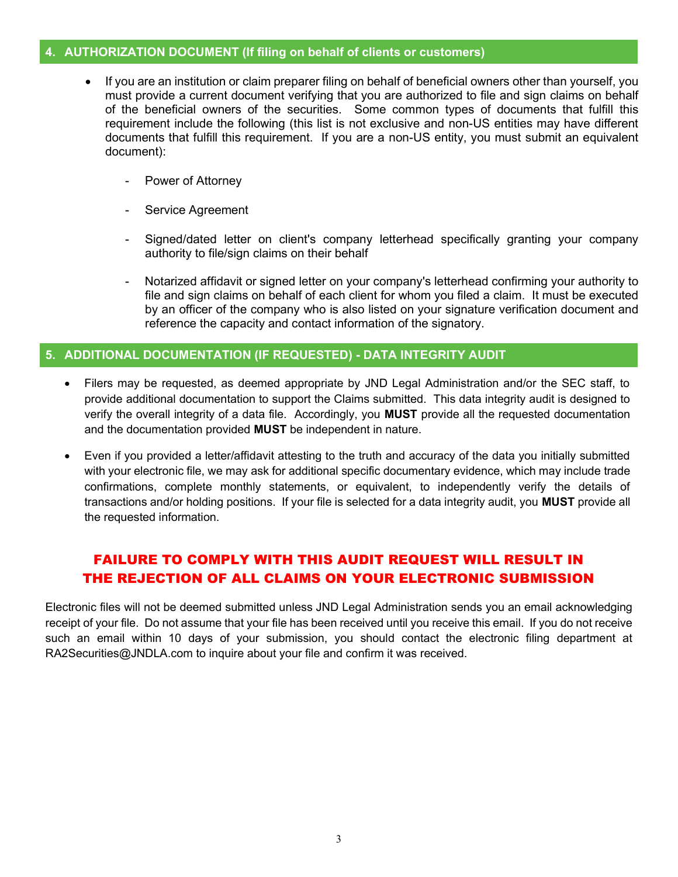#### 4. AUTHORIZATION DOCUMENT (If filing on behalf of clients or customers)

- If you are an institution or claim preparer filing on behalf of beneficial owners other than yourself, you must provide a current document verifying that you are authorized to file and sign claims on behalf of the beneficial owners of the securities. Some common types of documents that fulfill this requirement include the following (this list is not exclusive and non-US entities may have different documents that fulfill this requirement. If you are a non-US entity, you must submit an equivalent document):
	- Power of Attorney
	- Service Agreement
	- Signed/dated letter on client's company letterhead specifically granting your company authority to file/sign claims on their behalf
	- Notarized affidavit or signed letter on your company's letterhead confirming your authority to file and sign claims on behalf of each client for whom you filed a claim. It must be executed by an officer of the company who is also listed on your signature verification document and reference the capacity and contact information of the signatory.

#### 5. ADDITIONAL DOCUMENTATION (IF REQUESTED) - DATA INTEGRITY AUDIT

- Filers may be requested, as deemed appropriate by JND Legal Administration and/or the SEC staff, to provide additional documentation to support the Claims submitted. This data integrity audit is designed to verify the overall integrity of a data file. Accordingly, you MUST provide all the requested documentation and the documentation provided MUST be independent in nature.
- Even if you provided a letter/affidavit attesting to the truth and accuracy of the data you initially submitted with your electronic file, we may ask for additional specific documentary evidence, which may include trade confirmations, complete monthly statements, or equivalent, to independently verify the details of transactions and/or holding positions. If your file is selected for a data integrity audit, you MUST provide all the requested information.

## FAILURE TO COMPLY WITH THIS AUDIT REQUEST WILL RESULT IN THE REJECTION OF ALL CLAIMS ON YOUR ELECTRONIC SUBMISSION

Electronic files will not be deemed submitted unless JND Legal Administration sends you an email acknowledging receipt of your file. Do not assume that your file has been received until you receive this email. If you do not receive such an email within 10 days of your submission, you should contact the electronic filing department at RA2Securities@JNDLA.com to inquire about your file and confirm it was received.